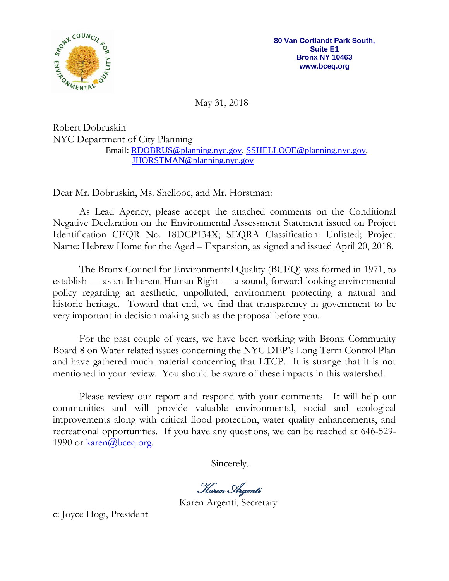

May 31, 2018

Robert Dobruskin NYC Department of City Planning Email: [RDOBRUS@planning.nyc.gov,](mailto:RDOBRUS@planning.nyc.gov) [SSHELLOOE@planning.nyc.gov,](mailto:SSHELLOOE@planning.nyc.gov) [JHORSTMAN@planning.nyc.gov](mailto:JHORSTMAN@planning.nyc.gov)

Dear Mr. Dobruskin, Ms. Shellooe, and Mr. Horstman:

As Lead Agency, please accept the attached comments on the Conditional Negative Declaration on the Environmental Assessment Statement issued on Project Identification CEQR No. 18DCP134X; SEQRA Classification: Unlisted; Project Name: Hebrew Home for the Aged – Expansion, as signed and issued April 20, 2018.

The Bronx Council for Environmental Quality (BCEQ) was formed in 1971, to establish — as an Inherent Human Right — a sound, forward-looking environmental policy regarding an aesthetic, unpolluted, environment protecting a natural and historic heritage. Toward that end, we find that transparency in government to be very important in decision making such as the proposal before you.

For the past couple of years, we have been working with Bronx Community Board 8 on Water related issues concerning the NYC DEP's Long Term Control Plan and have gathered much material concerning that LTCP. It is strange that it is not mentioned in your review. You should be aware of these impacts in this watershed.

Please review our report and respond with your comments. It will help our communities and will provide valuable environmental, social and ecological improvements along with critical flood protection, water quality enhancements, and recreational opportunities. If you have any questions, we can be reached at 646-529- 1990 or  $\frac{\text{karen}(a)\text{bceq.org}}{a}$ .

Sincerely,

Karen Argenti

Karen Argenti, Secretary

c: Joyce Hogi, President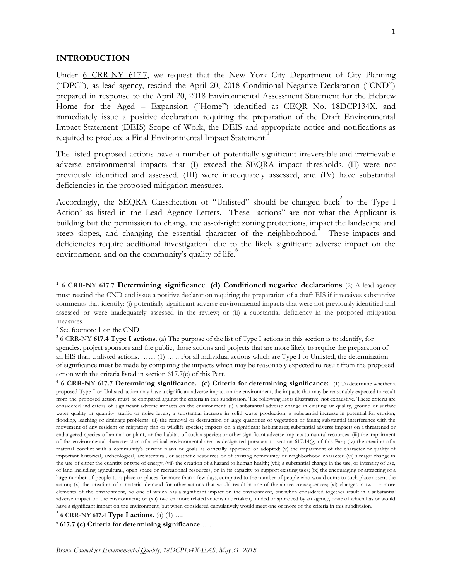#### **INTRODUCTION**

Under 6 [CRR-NY](https://govt.westlaw.com/nycrr/Document/I4ec3ce62cd1711dda432a117e6e0f345?viewType=FullText&originationContext=documenttoc&transitionType=CategoryPageItem&contextData=(sc.Default)) 617.7, we request that the New York City Department of City Planning ("DPC"), as lead agency, rescind the April 20, 2018 Conditional Negative Declaration ("CND") prepared in response to the April 20, 2018 Environmental Assessment Statement for the Hebrew Home for the Aged – Expansion ("Home") identified as CEQR No. 18DCP134X, and immediately issue a positive declaration requiring the preparation of the Draft Environmental Impact Statement (DEIS) Scope of Work, the DEIS and appropriate notice and notifications as required to produce a Final Environmental Impact Statement.

The listed proposed actions have a number of potentially significant irreversible and irretrievable adverse environmental impacts that (I) exceed the SEQRA impact thresholds, (II) were not previously identified and assessed, (III) were inadequately assessed, and (IV) have substantial deficiencies in the proposed mitigation measures.

Accordingly, the SEQRA Classification of "Unlisted" should be changed back to the Type I Action<sup>3</sup> as listed in the Lead Agency Letters. These "actions" are not what the Applicant is building but the permission to change the as-of-right zoning protections, impact the landscape and steep slopes, and changing the essential character of the neighborhood.<sup>"</sup> These impacts and deficiencies require additional investigation<sup>3</sup> due to the likely significant adverse impact on the environment, and on the community's quality of life.

<sup>1</sup> **6 CRR-NY 617.7 Determining significance**. **(d) Conditioned negative declarations** (2) A lead agency must rescind the CND and issue a positive declaration requiring the preparation of a draft EIS if it receives substantive comments that identify: (i) potentially significant adverse environmental impacts that were not previously identified and assessed or were inadequately assessed in the review; or (ii) a substantial deficiency in the proposed mitigation measures.

<sup>2</sup> See footnote 1 on the CND

<sup>3</sup> 6 CRR-NY **617.4 Type I actions.** (a) The purpose of the list of Type I actions in this section is to identify, for agencies, project sponsors and the public, those actions and projects that are more likely to require the preparation of an EIS than Unlisted actions. …… (1) …... For all individual actions which are Type I or Unlisted, the determination of significance must be made by comparing the impacts which may be reasonably expected to result from the proposed action with the criteria listed in section 617.7(c) of this Part.

<sup>4</sup> **6 CRR-NY 617.7 Determining significance. (c) Criteria for determining significance:** (1) To determine whether <sup>a</sup> proposed Type I or Unlisted action may have a significant adverse impact on the environment, the impacts that may be reasonably expected to result from the proposed action must be compared against the criteria in this subdivision. The following list is illustrative, not exhaustive. These criteria are considered indicators of significant adverse impacts on the environment: (i) a substantial adverse change in existing air quality, ground or surface water quality or quantity, traffic or noise levels; a substantial increase in solid waste production; a substantial increase in potential for erosion, flooding, leaching or drainage problems; (ii) the removal or destruction of large quantities of vegetation or fauna; substantial interference with the movement of any resident or migratory fish or wildlife species; impacts on a significant habitat area; substantial adverse impacts on a threatened or endangered species of animal or plant, or the habitat of such a species; or other significant adverse impacts to natural resources; (iii) the impairment of the environmental characteristics of a critical environmental area as designated pursuant to section 617.14(g) of this Part; (iv) the creation of a material conflict with a community's current plans or goals as officially approved or adopted; (v) the impairment of the character or quality of important historical, archeological, architectural, or aesthetic resources or of existing community or neighborhood character; (vi) a major change in the use of either the quantity or type of energy; (vii) the creation of a hazard to human health; (viii) a substantial change in the use, or intensity of use, of land including agricultural, open space or recreational resources, or in its capacity to support existing uses; (ix) the encouraging or attracting of a large number of people to a place or places for more than a few days, compared to the number of people who would come to such place absent the action; (x) the creation of a material demand for other actions that would result in one of the above consequences; (xi) changes in two or more elements of the environment, no one of which has a significant impact on the environment, but when considered together result in a substantial adverse impact on the environment; or (xii) two or more related actions undertaken, funded or approved by an agency, none of which has or would have a significant impact on the environment, but when considered cumulatively would meet one or more of the criteria in this subdivision.

<sup>5</sup> **6 CRR-NY 617.4 Type I actions.** (a) (1) ….

<sup>6</sup> **617.7 (c) Criteria for determining significance** ….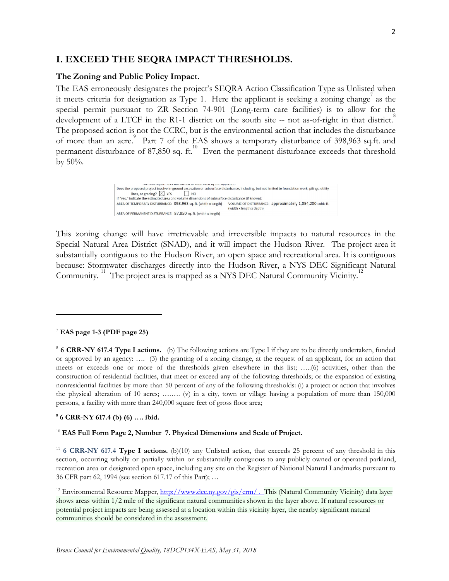# **I. EXCEED THE SEQRA IMPACT THRESHOLDS.**

## **The Zoning and Public Policy Impact.**

The EAS erroneously designates the project's SEQRA Action Classification Type as Unlisted when it meets criteria for designation as Type 1. Here the applicant is seeking a zoning change as the special permit pursuant to ZR Section 74-901 (Long-term care facilities) is to allow for the development of a LTCF in the R1-1 district on the south site -- not as-of-right in that district. The proposed action is not the CCRC, but is the environmental action that includes the disturbance of more than an acre.<sup>9</sup> Part 7 of the EAS shows a temporary disturbance of 398,963 sq.ft. and permanent disturbance of 87,850 sq. ft.<sup>10</sup> Even the permanent disturbance exceeds that threshold by 50%.

> Does the proposed project involve in-ground excavation or subsurface disturbance, including, but not limited to foundation work, pilings, utility  $\lim_{x \to \infty}$  or grading?  $\times$  YES  $\qquad \qquad$  NO NO If "yes," indicate the estimated area and volume dimensions of subsurface disturbance (if known): AREA OF TEMPORARY DISTURBANCE: 398,963 sq. ft. (width x length) VOLUME OF DISTURBANCE: approximately 1,054,200 cubic ft. (width x length x depth) AREA OF PERMANENT DISTURBANCE: 87,850 sq. ft. (width x length)

This zoning change will have irretrievable and irreversible impacts to natural resources in the Special Natural Area District (SNAD), and it will impact the Hudson River. The project area it substantially contiguous to the Hudson River, an open space and recreational area. It is contiguous because: Stormwater discharges directly into the Hudson River, a NYS DEC Significant Natural Community.<sup>11</sup> The project area is mapped as a NYS DEC Natural Community Vicinity.<sup>11</sup>

## <sup>7</sup> **EAS page 1-3 (PDF page 25)**

<sup>8</sup> **6 CRR-NY 617.4 Type I actions.** (b) The following actions are Type I if they are to be directly undertaken, funded or approved by an agency: …. (3) the granting of a zoning change, at the request of an applicant, for an action that meets or exceeds one or more of the thresholds given elsewhere in this list; …..(6) activities, other than the construction of residential facilities, that meet or exceed any of the following thresholds; or the expansion of existing nonresidential facilities by more than 50 percent of any of the following thresholds: (i) a project or action that involves the physical alteration of 10 acres; ….…. (v) in a city, town or village having a population of more than 150,000 persons, a facility with more than 240,000 square feet of gross floor area;

## **<sup>9</sup> 6 CRR-NY 617.4 (b) (6) …. ibid.**

## <sup>10</sup> **EAS Full Form Page 2, Number 7. Physical Dimensions and Scale of Project.**

<sup>11</sup> **6 [CRR-NY](https://govt.westlaw.com/nycrr/Document/I4ec3a764cd1711dda432a117e6e0f345?viewType=FullText&originationContext=documenttoc&transitionType=CategoryPageItem&contextData=%28sc.Default%29) 617.4 Type I actions.** (b)(10) any Unlisted action, that exceeds 25 percent of any threshold in this section, occurring wholly or partially within or substantially contiguous to any publicly owned or operated parkland, recreation area or designated open space, including any site on the Register of National Natural Landmarks pursuant to 36 CFR part 62, 1994 (see section 617.17 of this Part); …

<sup>12</sup> Environmental Resource Mapper,  $\frac{http://www.dec.ny.gov/gis/cm/}{http://www.dec.ny.gov/gis/cm/}{$ . This (Natural Community Vicinity) data layer shows areas within 1/2 mile of the significant natural communities shown in the layer above. If natural resources or potential project impacts are being assessed at a location within this vicinity layer, the nearby significant natural communities should be considered in the assessment.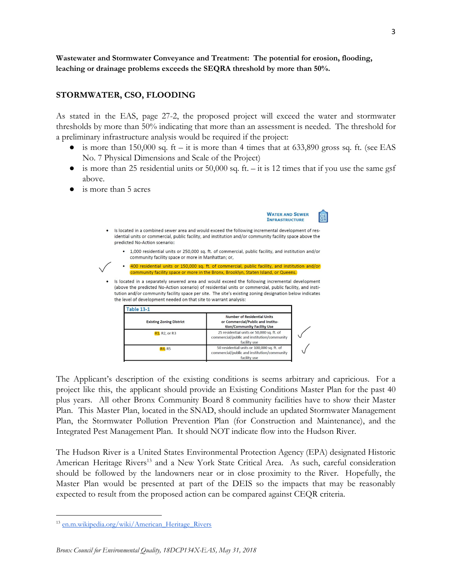# **STORMWATER, CSO, FLOODING**

As stated in the EAS, page 27-2, the proposed project will exceed the water and stormwater thresholds by more than 50% indicating that more than an assessment is needed. The threshold for a preliminary infrastructure analysis would be required if the project:

- is more than 150,000 sq. ft it is more than 4 times that at 633,890 gross sq. ft. (see EAS No. 7 Physical Dimensions and Scale of the Project)
- is more than 25 residential units or  $50,000$  sq. ft. it is 12 times that if you use the same gsf above.
- is more than 5 acres



The Applicant's description of the existing conditions is seems arbitrary and capricious. For a project like this, the applicant should provide an Existing Conditions Master Plan for the past 40 plus years. All other Bronx Community Board 8 community facilities have to show their Master Plan. This Master Plan, located in the SNAD, should include an updated Stormwater Management Plan, the Stormwater Pollution Prevention Plan (for Construction and Maintenance), and the Integrated Pest Management Plan. It should NOT indicate flow into the Hudson River.

facility use

The Hudson River is a United States Environmental Protection Agency (EPA) designated Historic American Heritage Rivers<sup>13</sup> and a New York State Critical Area. As such, careful consideration should be followed by the landowners near or in close proximity to the River. Hopefully, the Master Plan would be presented at part of the DEIS so the impacts that may be reasonably expected to result from the proposed action can be compared against CEQR criteria.

<sup>&</sup>lt;sup>13</sup> [en.m.wikipedia.org/wiki/American\\_Heritage\\_Rivers](http://en.m.wikipedia.org/wiki/American_Heritage_Rivers)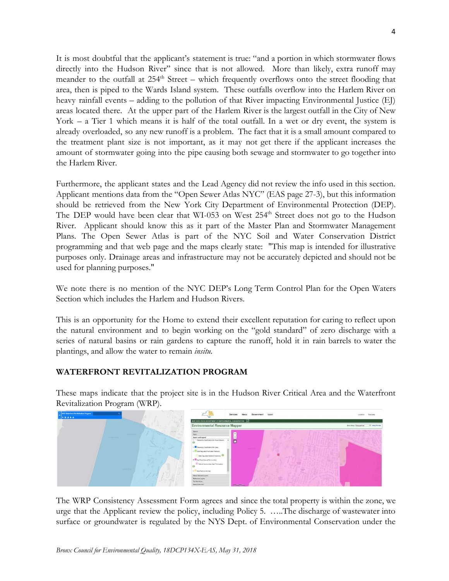It is most doubtful that the applicant's statement is true: "and a portion in which stormwater flows directly into the Hudson River" since that is not allowed. More than likely, extra runoff may meander to the outfall at 254<sup>th</sup> Street – which frequently overflows onto the street flooding that area, then is piped to the Wards Island system. These outfalls overflow into the Harlem River on heavy rainfall events – adding to the pollution of that River impacting Environmental Justice (EJ) areas located there. At the upper part of the Harlem River is the largest outfall in the City of New York – a Tier 1 which means it is half of the total outfall. In a wet or dry event, the system is already overloaded, so any new runoff is a problem. The fact that it is a small amount compared to the treatment plant size is not important, as it may not get there if the applicant increases the amount of stormwater going into the pipe causing both sewage and stormwater to go together into the Harlem River.

Furthermore, the applicant states and the Lead Agency did not review the info used in this section. Applicant mentions data from the "Open Sewer Atlas NYC" (EAS page 27-3), but this information should be retrieved from the New York City Department of Environmental Protection (DEP). The DEP would have been clear that WI-053 on West 254<sup>th</sup> Street does not go to the Hudson River. Applicant should know this as it part of the Master Plan and Stormwater Management Plans. The Open Sewer Atlas is part of the NYC Soil and Water Conservation District programming and that web page and the maps clearly state: "This map is intended for illustrative purposes only. Drainage areas and infrastructure may not be accurately depicted and should not be used for planning purposes."

We note there is no mention of the NYC DEP's Long Term Control Plan for the Open Waters Section which includes the Harlem and Hudson Rivers.

This is an opportunity for the Home to extend their excellent reputation for caring to reflect upon the natural environment and to begin working on the "gold standard" of zero discharge with a series of natural basins or rain gardens to capture the runoff, hold it in rain barrels to water the plantings, and allow the water to remain *insitu.*

# **WATERFRONT REVITALIZATION PROGRAM**

These maps indicate that the project site is in the Hudson River Critical Area and the Waterfront Revitalization Program (WRP).



The WRP Consistency Assessment Form agrees and since the total property is within the zone, we urge that the Applicant review the policy, including Policy 5. …..The discharge of wastewater into surface or groundwater is regulated by the NYS Dept. of Environmental Conservation under the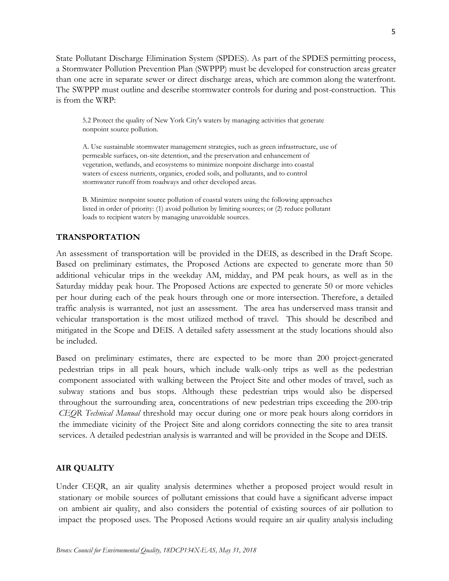State Pollutant Discharge Elimination System (SPDES). As part of the SPDES permitting process, a Stormwater Pollution Prevention Plan (SWPPP) must be developed for construction areas greater than one acre in separate sewer or direct discharge areas, which are common along the waterfront. The SWPPP must outline and describe stormwater controls for during and post-construction. This is from the WRP:

5.2 Protect the quality of New York City's waters by managing activities that generate nonpoint source pollution.

A. Use sustainable stormwater management strategies, such as green infrastructure, use of permeable surfaces, on-site detention, and the preservation and enhancement of vegetation, wetlands, and ecosystems to minimize nonpoint discharge into coastal waters of excess nutrients, organics, eroded soils, and pollutants, and to control stormwater runoff from roadways and other developed areas.

B. Minimize nonpoint source pollution of coastal waters using the following approaches listed in order of priority: (1) avoid pollution by limiting sources; or (2) reduce pollutant loads to recipient waters by managing unavoidable sources.

## **TRANSPORTATION**

An assessment of transportation will be provided in the DEIS, as described in the Draft Scope. Based on preliminary estimates, the Proposed Actions are expected to generate more than 50 additional vehicular trips in the weekday AM, midday, and PM peak hours, as well as in the Saturday midday peak hour. The Proposed Actions are expected to generate 50 or more vehicles per hour during each of the peak hours through one or more intersection. Therefore, a detailed traffic analysis is warranted, not just an assessment. The area has underserved mass transit and vehicular transportation is the most utilized method of travel. This should be described and mitigated in the Scope and DEIS. A detailed safety assessment at the study locations should also be included.

Based on preliminary estimates, there are expected to be more than 200 project-generated pedestrian trips in all peak hours, which include walk-only trips as well as the pedestrian component associated with walking between the Project Site and other modes of travel, such as subway stations and bus stops. Although these pedestrian trips would also be dispersed throughout the surrounding area, concentrations of new pedestrian trips exceeding the 200-trip *CEQR Technical Manual* threshold may occur during one or more peak hours along corridors in the immediate vicinity of the Project Site and along corridors connecting the site to area transit services. A detailed pedestrian analysis is warranted and will be provided in the Scope and DEIS.

## **AIR QUALITY**

Under CEQR, an air quality analysis determines whether a proposed project would result in stationary or mobile sources of pollutant emissions that could have a significant adverse impact on ambient air quality, and also considers the potential of existing sources of air pollution to impact the proposed uses. The Proposed Actions would require an air quality analysis including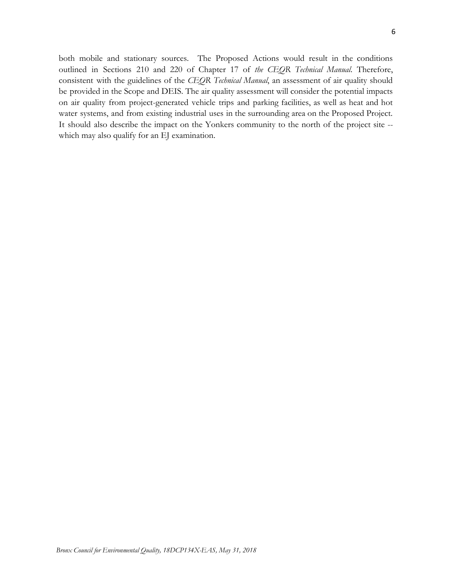both mobile and stationary sources. The Proposed Actions would result in the conditions outlined in Sections 210 and 220 of Chapter 17 of *the CEQR Technical Manual*. Therefore, consistent with the guidelines of the *CEQR Technical Manual*, an assessment of air quality should be provided in the Scope and DEIS. The air quality assessment will consider the potential impacts on air quality from project-generated vehicle trips and parking facilities, as well as heat and hot water systems, and from existing industrial uses in the surrounding area on the Proposed Project. It should also describe the impact on the Yonkers community to the north of the project site - which may also qualify for an EJ examination.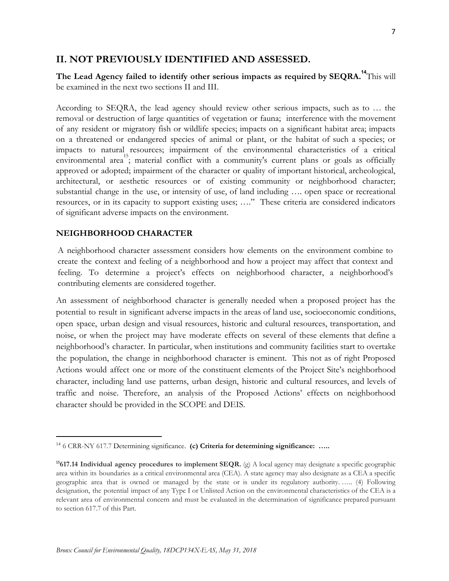# **II. NOT PREVIOUSLY IDENTIFIED AND ASSESSED.**

**The Lead Agency failed to identify other serious impacts as required by SEQRA.** This will **<sup>14</sup>** be examined in the next two sections II and III.

According to SEQRA, the lead agency should review other serious impacts, such as to … the removal or destruction of large quantities of vegetation or fauna; interference with the movement of any resident or migratory fish or wildlife species; impacts on a significant habitat area; impacts on a threatened or endangered species of animal or plant, or the habitat of such a species; or impacts to natural resources; impairment of the environmental characteristics of a critical environmental area<sup>13</sup>; material conflict with a community's current plans or goals as officially approved or adopted; impairment of the character or quality of important historical, archeological, architectural, or aesthetic resources or of existing community or neighborhood character; substantial change in the use, or intensity of use, of land including …. open space or recreational resources, or in its capacity to support existing uses; …." These criteria are considered indicators of significant adverse impacts on the environment.

## **NEIGHBORHOOD CHARACTER**

A neighborhood character assessment considers how elements on the environment combine to create the context and feeling of a neighborhood and how a project may affect that context and feeling. To determine a project's effects on neighborhood character, a neighborhood's contributing elements are considered together.

An assessment of neighborhood character is generally needed when a proposed project has the potential to result in significant adverse impacts in the areas of land use, socioeconomic conditions, open space, urban design and visual resources, historic and cultural resources, transportation, and noise, or when the project may have moderate effects on several of these elements that define a neighborhood's character. In particular, when institutions and community facilities start to overtake the population, the change in neighborhood character is eminent. This not as of right Proposed Actions would affect one or more of the constituent elements of the Project Site's neighborhood character, including land use patterns, urban design, historic and cultural resources, and levels of traffic and noise. Therefore, an analysis of the Proposed Actions' effects on neighborhood character should be provided in the SCOPE and DEIS.

<sup>14</sup> 6 CRR-NY 617.7 Determining significance. **(c) Criteria for determining significance: …..**

**<sup>15</sup>617.14 Individual agency procedures to implement SEQR.** (g) A local agency may designate a specific geographic area within its boundaries as a critical environmental area (CEA). A state agency may also designate as a CEA a specific geographic area that is owned or managed by the state or is under its regulatory authority. ….. (4) Following designation, the potential impact of any Type I or Unlisted Action on the environmental characteristics of the CEA is a relevant area of environmental concern and must be evaluated in the determination of significance prepared pursuant to section 617.7 of this Part.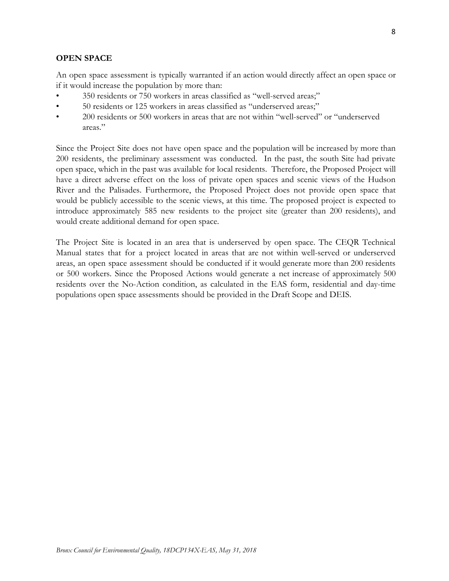# **OPEN SPACE**

An open space assessment is typically warranted if an action would directly affect an open space or if it would increase the population by more than:

- 350 residents or 750 workers in areas classified as "well-served areas;"
- 50 residents or 125 workers in areas classified as "underserved areas;"
- 200 residents or 500 workers in areas that are not within "well-served" or "underserved areas."

Since the Project Site does not have open space and the population will be increased by more than 200 residents, the preliminary assessment was conducted. In the past, the south Site had private open space, which in the past was available for local residents. Therefore, the Proposed Project will have a direct adverse effect on the loss of private open spaces and scenic views of the Hudson River and the Palisades. Furthermore, the Proposed Project does not provide open space that would be publicly accessible to the scenic views, at this time. The proposed project is expected to introduce approximately 585 new residents to the project site (greater than 200 residents), and would create additional demand for open space.

The Project Site is located in an area that is underserved by open space. The CEQR Technical Manual states that for a project located in areas that are not within well-served or underserved areas, an open space assessment should be conducted if it would generate more than 200 residents or 500 workers. Since the Proposed Actions would generate a net increase of approximately 500 residents over the No-Action condition, as calculated in the EAS form, residential and day-time populations open space assessments should be provided in the Draft Scope and DEIS.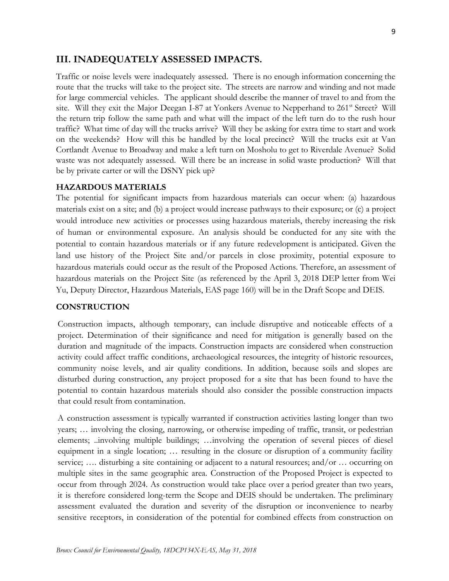# **III. INADEQUATELY ASSESSED IMPACTS.**

Traffic or noise levels were inadequately assessed. There is no enough information concerning the route that the trucks will take to the project site. The streets are narrow and winding and not made for large commercial vehicles. The applicant should describe the manner of travel to and from the site. Will they exit the Major Deegan I-87 at Yonkers Avenue to Nepperhand to 261<sup>st</sup> Street? Will the return trip follow the same path and what will the impact of the left turn do to the rush hour traffic? What time of day will the trucks arrive? Will they be asking for extra time to start and work on the weekends? How will this be handled by the local precinct? Will the trucks exit at Van Cortlandt Avenue to Broadway and make a left turn on Mosholu to get to Riverdale Avenue? Solid waste was not adequately assessed. Will there be an increase in solid waste production? Will that be by private carter or will the DSNY pick up?

## **HAZARDOUS MATERIALS**

The potential for significant impacts from hazardous materials can occur when: (a) hazardous materials exist on a site; and (b) a project would increase pathways to their exposure; or (c) a project would introduce new activities or processes using hazardous materials, thereby increasing the risk of human or environmental exposure. An analysis should be conducted for any site with the potential to contain hazardous materials or if any future redevelopment is anticipated. Given the land use history of the Project Site and/or parcels in close proximity, potential exposure to hazardous materials could occur as the result of the Proposed Actions. Therefore, an assessment of hazardous materials on the Project Site (as referenced by the April 3, 2018 DEP letter from Wei Yu, Deputy Director, Hazardous Materials, EAS page 160) will be in the Draft Scope and DEIS.

## **CONSTRUCTION**

Construction impacts, although temporary, can include disruptive and noticeable effects of a project. Determination of their significance and need for mitigation is generally based on the duration and magnitude of the impacts. Construction impacts are considered when construction activity could affect traffic conditions, archaeological resources, the integrity of historic resources, community noise levels, and air quality conditions. In addition, because soils and slopes are disturbed during construction, any project proposed for a site that has been found to have the potential to contain hazardous materials should also consider the possible construction impacts that could result from contamination.

A construction assessment is typically warranted if construction activities lasting longer than two years; … involving the closing, narrowing, or otherwise impeding of traffic, transit, or pedestrian elements; ..involving multiple buildings; …involving the operation of several pieces of diesel equipment in a single location; … resulting in the closure or disruption of a community facility service; .... disturbing a site containing or adjacent to a natural resources; and/or ... occurring on multiple sites in the same geographic area. Construction of the Proposed Project is expected to occur from through 2024. As construction would take place over a period greater than two years, it is therefore considered long-term the Scope and DEIS should be undertaken. The preliminary assessment evaluated the duration and severity of the disruption or inconvenience to nearby sensitive receptors, in consideration of the potential for combined effects from construction on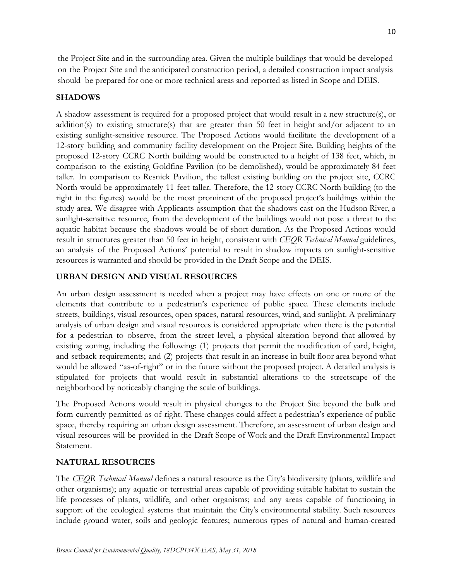the Project Site and in the surrounding area. Given the multiple buildings that would be developed on the Project Site and the anticipated construction period, a detailed construction impact analysis should be prepared for one or more technical areas and reported as listed in Scope and DEIS.

## **SHADOWS**

A shadow assessment is required for a proposed project that would result in a new structure(s), or addition(s) to existing structure(s) that are greater than 50 feet in height and/or adjacent to an existing sunlight-sensitive resource. The Proposed Actions would facilitate the development of a 12-story building and community facility development on the Project Site. Building heights of the proposed 12-story CCRC North building would be constructed to a height of 138 feet, which, in comparison to the existing Goldfine Pavilion (to be demolished), would be approximately 84 feet taller. In comparison to Resnick Pavilion, the tallest existing building on the project site, CCRC North would be approximately 11 feet taller. Therefore, the 12-story CCRC North building (to the right in the figures) would be the most prominent of the proposed project's buildings within the study area. We disagree with Applicants assumption that the shadows cast on the Hudson River, a sunlight-sensitive resource, from the development of the buildings would not pose a threat to the aquatic habitat because the shadows would be of short duration. As the Proposed Actions would result in structures greater than 50 feet in height, consistent with *CEQR Technical Manual* guidelines, an analysis of the Proposed Actions' potential to result in shadow impacts on sunlight-sensitive resources is warranted and should be provided in the Draft Scope and the DEIS.

## **URBAN DESIGN AND VISUAL RESOURCES**

An urban design assessment is needed when a project may have effects on one or more of the elements that contribute to a pedestrian's experience of public space. These elements include streets, buildings, visual resources, open spaces, natural resources, wind, and sunlight. A preliminary analysis of urban design and visual resources is considered appropriate when there is the potential for a pedestrian to observe, from the street level, a physical alteration beyond that allowed by existing zoning, including the following: (1) projects that permit the modification of yard, height, and setback requirements; and (2) projects that result in an increase in built floor area beyond what would be allowed "as-of-right" or in the future without the proposed project. A detailed analysis is stipulated for projects that would result in substantial alterations to the streetscape of the neighborhood by noticeably changing the scale of buildings.

The Proposed Actions would result in physical changes to the Project Site beyond the bulk and form currently permitted as-of-right. These changes could affect a pedestrian's experience of public space, thereby requiring an urban design assessment. Therefore, an assessment of urban design and visual resources will be provided in the Draft Scope of Work and the Draft Environmental Impact Statement.

## **NATURAL RESOURCES**

The *CEQR Technical Manual* defines a natural resource as the City's biodiversity (plants, wildlife and other organisms); any aquatic or terrestrial areas capable of providing suitable habitat to sustain the life processes of plants, wildlife, and other organisms; and any areas capable of functioning in support of the ecological systems that maintain the City's environmental stability. Such resources include ground water, soils and geologic features; numerous types of natural and human-created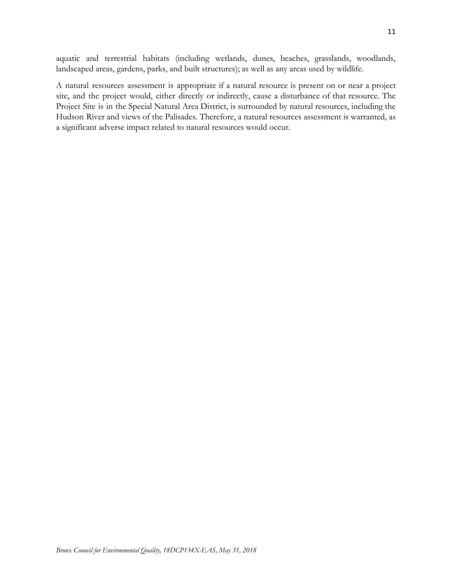aquatic and terrestrial habitats (including wetlands, dunes, beaches, grasslands, woodlands, landscaped areas, gardens, parks, and built structures); as well as any areas used by wildlife.

A natural resources assessment is appropriate if a natural resource is present on or near a project site, and the project would, either directly or indirectly, cause a disturbance of that resource. The Project Site is in the Special Natural Area District, is surrounded by natural resources, including the Hudson River and views of the Palisades. Therefore, a natural resources assessment is warranted, as a significant adverse impact related to natural resources would occur.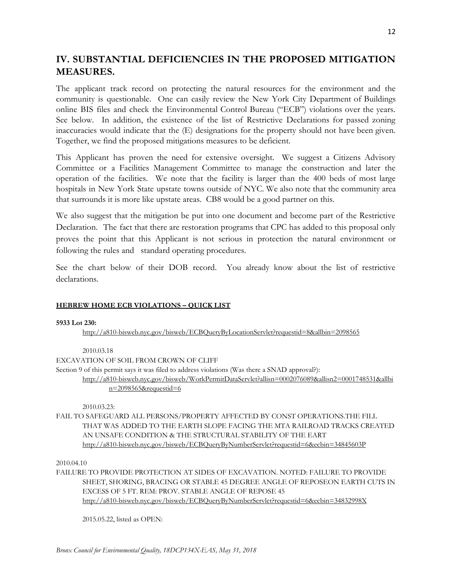# **IV. SUBSTANTIAL DEFICIENCIES IN THE PROPOSED MITIGATION MEASURES.**

The applicant track record on protecting the natural resources for the environment and the community is questionable. One can easily review the New York City Department of Buildings online BIS files and check the Environmental Control Bureau ("ECB") violations over the years. See below. In addition, the existence of the list of Restrictive Declarations for passed zoning inaccuracies would indicate that the (E) designations for the property should not have been given. Together, we find the proposed mitigations measures to be deficient.

This Applicant has proven the need for extensive oversight. We suggest a Citizens Advisory Committee or a Facilities Management Committee to manage the construction and later the operation of the facilities. We note that the facility is larger than the 400 beds of most large hospitals in New York State upstate towns outside of NYC. We also note that the community area that surrounds it is more like upstate areas. CB8 would be a good partner on this.

We also suggest that the mitigation be put into one document and become part of the Restrictive Declaration. The fact that there are restoration programs that CPC has added to this proposal only proves the point that this Applicant is not serious in protection the natural environment or following the rules and standard operating procedures.

See the chart below of their DOB record. You already know about the list of restrictive declarations.

## **HEBREW HOME ECB VIOLATIONS – QUICK LIST**

## **5933 Lot 230:**

<http://a810-bisweb.nyc.gov/bisweb/ECBQueryByLocationServlet?requestid=8&allbin=2098565>

2010.03.18 EXCAVATION OF SOIL FROM CROWN OF CLIFF Section 9 of this permit says it was filed to address violations (Was there a SNAD approval?): [http://a810-bisweb.nyc.gov/bisweb/WorkPermitDataServlet?allisn=0002076089&allisn2=0001748531&allbi](http://a810-bisweb.nyc.gov/bisweb/WorkPermitDataServlet?allisn=0002076089&allisn2=0001748531&allbin=2098565&requestid=6) [n=2098565&requestid=6](http://a810-bisweb.nyc.gov/bisweb/WorkPermitDataServlet?allisn=0002076089&allisn2=0001748531&allbin=2098565&requestid=6)

2010.03.23:

FAIL TO SAFEGUARD ALL PERSONS/PROPERTY AFFECTED BY CONST OPERATIONS.THE FILL THAT WAS ADDED TO THE EARTH SLOPE FACING THE MTA RAILROAD TRACKS CREATED AN UNSAFE CONDITION & THE STRUCTURAL STABILITY OF THE EART <http://a810-bisweb.nyc.gov/bisweb/ECBQueryByNumberServlet?requestid=6&ecbin=34845603P>

2010.04.10

FAILURE TO PROVIDE PROTECTION AT SIDES OF EXCAVATION. NOTED: FAILURE TO PROVIDE SHEET, SHORING, BRACING OR STABLE 45 DEGREE ANGLE OF REPOSEON EARTH CUTS IN EXCESS OF 5 FT. REM: PROV. STABLE ANGLE OF REPOSE 45 <http://a810-bisweb.nyc.gov/bisweb/ECBQueryByNumberServlet?requestid=6&ecbin=34832998X>

2015.05.22, listed as OPEN: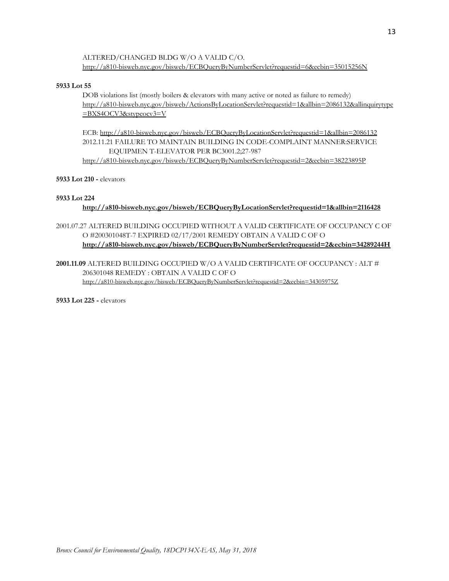ALTERED/CHANGED BLDG W/O A VALID C/O. <http://a810-bisweb.nyc.gov/bisweb/ECBQueryByNumberServlet?requestid=6&ecbin=35015256N>

#### **5933 Lot 55**

DOB violations list (mostly boilers & elevators with many active or noted as failure to remedy) [http://a810-bisweb.nyc.gov/bisweb/ActionsByLocationServlet?requestid=1&allbin=2086132&allinquirytype](http://a810-bisweb.nyc.gov/bisweb/ActionsByLocationServlet?requestid=1&allbin=2086132&allinquirytype=BXS4OCV3&stypeocv3=V) [=BXS4OCV3&stypeocv3=V](http://a810-bisweb.nyc.gov/bisweb/ActionsByLocationServlet?requestid=1&allbin=2086132&allinquirytype=BXS4OCV3&stypeocv3=V)

ECB: <http://a810-bisweb.nyc.gov/bisweb/ECBQueryByLocationServlet?requestid=1&allbin=2086132> 2012.11.21 FAILURE TO MAINTAIN BUILDING IN CODE-COMPLAINT MANNER:SERVICE EQUIPMEN T-ELEVATOR PER BC3001.2;27-987 <http://a810-bisweb.nyc.gov/bisweb/ECBQueryByNumberServlet?requestid=2&ecbin=38223895P>

### **5933 Lot 210 -** elevators

### **5933 Lot 224**

## **<http://a810-bisweb.nyc.gov/bisweb/ECBQueryByLocationServlet?requestid=1&allbin=2116428>**

- 2001.07.27 ALTERED BUILDING OCCUPIED WITHOUT A VALID CERTIFICATE OF OCCUPANCY C OF O #200301048T-7 EXPIRED 02/17/2001 REMEDY OBTAIN A VALID C OF O **<http://a810-bisweb.nyc.gov/bisweb/ECBQueryByNumberServlet?requestid=2&ecbin=34289244H>**
- **2001.11.09** ALTERED BUILDING OCCUPIED W/O A VALID CERTIFICATE OF OCCUPANCY : ALT # 206301048 REMEDY : OBTAIN A VALID C OF O <http://a810-bisweb.nyc.gov/bisweb/ECBQueryByNumberServlet?requestid=2&ecbin=34305975Z>

**5933 Lot 225 -** elevators